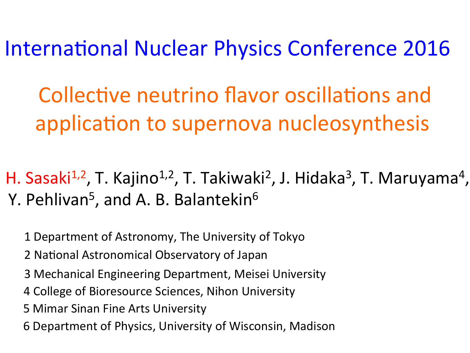International Nuclear Physics Conference 2016

Collective neutrino flavor oscillations and application to supernova nucleosynthesis

H. Sasaki<sup>1,2</sup>, T. Kajino<sup>1,2</sup>, T. Takiwaki<sup>2</sup>, J. Hidaka<sup>3</sup>, T. Maruyama<sup>4</sup>, Y. Pehlivan<sup>5</sup>, and A. B. Balantekin<sup>6</sup>

1 Department of Astronomy, The University of Tokyo

2 National Astronomical Observatory of Japan

- 3 Mechanical Engineering Department, Meisei University
- 4 College of Bioresource Sciences, Nihon University
- **5 Mimar Sinan Fine Arts University**
- 6 Department of Physics, University of Wisconsin, Madison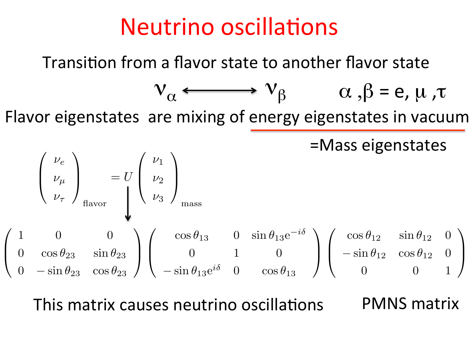# Neutrino oscillations

Transition from a flavor state to another flavor state

$$
v_{\alpha} \longleftrightarrow v_{\beta} \qquad \alpha, \beta = e, \mu, \tau
$$

Flavor eigenstates are mixing of energy eigenstates in vacuum ⎟⎠ <sup>=</sup> *<sup>U</sup>*  $\overline{\phantom{a}}$  $\overline{a}$ **b** ⎟⎠

=Mass eigenstates

$$
\begin{pmatrix}\n\nu_e \\
\nu_\mu \\
\nu_\tau\n\end{pmatrix}_{\text{flavor}} = U \begin{pmatrix}\n\nu_1 \\
\nu_2 \\
\nu_3\n\end{pmatrix}_{\text{mass}}
$$
\n
$$
\begin{pmatrix}\n1 & 0 & 0 \\
0 & \cos \theta_{23} & \sin \theta_{23} \\
0 & -\sin \theta_{23} & \cos \theta_{23}\n\end{pmatrix} \begin{pmatrix}\n\cos \theta_{13} & 0 & \sin \theta_{13} e^{-i\delta} \\
0 & 1 & 0 \\
-\sin \theta_{13} e^{i\delta} & 0 & \cos \theta_{13}\n\end{pmatrix} \begin{pmatrix}\n\cos \theta_{12} & \sin \theta_{12} & 0 \\
-\sin \theta_{12} & \cos \theta_{12} & 0 \\
0 & 0 & 1\n\end{pmatrix}
$$

PMNS matrix  $\overline{1}$   $\overline{1}$   $\overline{1}$   $\overline{1}$   $\overline{5}$   $\overline{1}$ 1 0 0 idtrix causes fieutri cos θ<sup>13</sup> 0 sin θ13e−*i*<sup>δ</sup> This matrix causes neutrino oscillations VIIV.<br>T cos θ<sub>12</sub> sin θ12 sin θ12 sin θ12 sin θ12 sin θ12 sin θ12 sin θ12 sin θ12 sin θ12 sin θ12 sin θ12 sin θ12 sin θ12 sin θ12 sin θ12 sin θ12 sin θ12 sin θ12 sin θ12 sin θ12 sin θ12 sin θ12 sin θ12 sin θ12 sin θ12 sin θ12 sin  $\overline{\phantom{a}}$  singulared  $\overline{\phantom{a}}$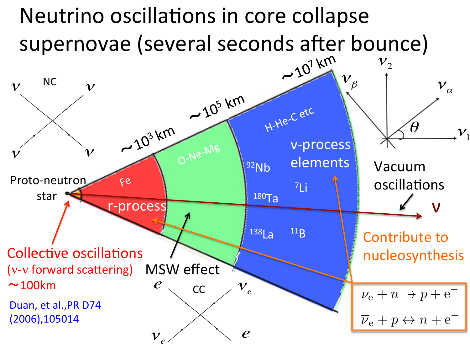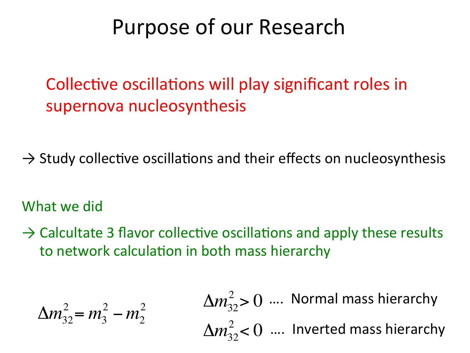## Purpose of our Research

Collective oscillations will play significant roles in supernova nucleosynthesis

 $\rightarrow$  Study collective oscillations and their effects on nucleosynthesis

### What we did

 $\rightarrow$  Calcultate 3 flavor collective oscillations and apply these results to network calculation in both mass hierarchy

$$
\Delta m_{32}^2 = m_3^2 - m_2^2
$$
\n
$$
\Delta m_{32}^2 > 0 \quad \text{....} \quad \text{Normal mass hierarchy}
$$
\n
$$
\Delta m_{32}^2 < 0 \quad \text{....} \quad \text{Inverted mass hierarchy}
$$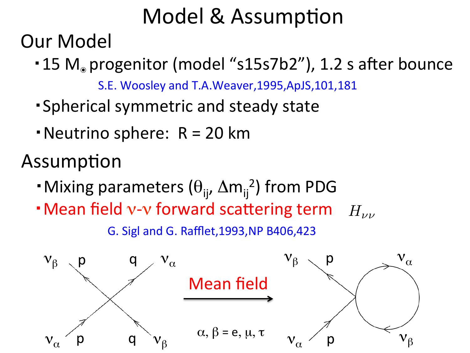## Model & Assumption

**Our Model** 

 $\cdot$  15 M. progenitor (model "s15s7b2"), 1.2 s after bounce

S.E. Woosley and T.A.Weaver, 1995, ApJS, 101, 181

- ・Spherical symmetric and steady state
- Neutrino sphere:  $R = 20$  km

Assumption

- $\cdot$  Mixing parameters  $(\theta_{ij}, \Delta m_{ij}^2)$  from PDG
- **H** Mean field v-v forward scattering term  $H_{\nu\nu}$ G. Sigl and G. Rafflet,1993,NP B406,423

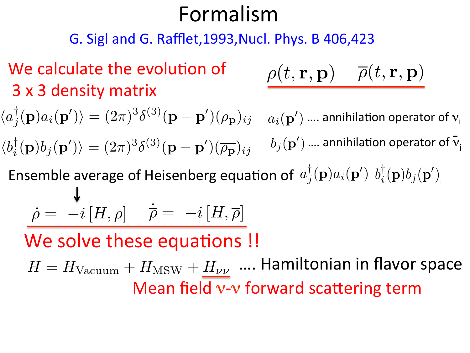### Formalism ρ(*r, E,* p) ρ(*r, E,* p)

G. Sigl and G. Rafflet,1993, Nucl. Phys. B 406,423 ρ(*t,* r*,* p)αβ

## We calculate the evolution of 3 x 3 density matrix ρ(*r, E,* p)

$$
\qquad \qquad \textbf{on of} \qquad \qquad \rho(t,\mathbf{r},\mathbf{p}) \quad \qquad \overline{\rho}(t,\mathbf{r},\mathbf{p})
$$

 $\langle a_j^\dagger({\bf p})a_i({\bf p}')\rangle=(2\pi)^3\delta^{(3)}({\bf p-p}')(\rho_{\bf p})_{ij}\quad a_i({\bf p}')$  .... annihilation operator of  ${\bf v_i}$  $\langle b_i^\dagger({\bf p})b_j({\bf p}')\rangle=(2\pi)^3\delta^{(3)}({\bf p-p}')(\overline{\rho_{\bf p}})_{ij}$   $\quad b_j({\bf p}')$  .... annihilation operator of  ${\bf \bar v_j}$  $\begin{bmatrix} 0 & \frac{1}{\rho} \end{bmatrix}$ ν = νe*,* ν<sup>e</sup>  $\alpha > 3 \zeta(3)$  (a)  $\alpha > 3 \zeta(3)$  (b)  $\alpha$  annihilation operator of  $\bar{v}$ Ensemble average of Heisenberg equation of  $a_j^{\dagger}(\mathbf{p})a_i(\mathbf{p}')$   $b_i^{\dagger}(\mathbf{p})b_j(\mathbf{p}')$  $\ket{b} = (2\pi)^3 \delta^{(3)}(\mathbf{p} - \mathbf{p}')(\overline{\rho_{\mathbf{p}}})_{ij}$   $b_j(\mathbf{p}')$  .... annihilation operator of  $\bar{\mathbf{v}}_j$  $\dot{\rho} = -i[H,\rho] \quad \dot{\overline{\rho}} = -i[H,\overline{\rho}]$ We solve these equations !! ρ˙ = −*i*[*H,* ρ] (9)  $\lim_{h \to 0} \mathbf{p} \cdot \int_a^{\dagger}(\mathbf{p}) a_i(\mathbf{p}') h_i^{\dagger}(\mathbf{p}) b_i(\mathbf{p}')$ *H*  $a_i(\mathbf{p}')$  .... annihilation operator of

**EVALUARE EVALUARE EVALUARE:** FORWARD CONTROLLER MEAN Mean field v-v forward scattering term  $H = H_{\text{Vacuum}} + H_{\text{MSW}} + H_{\nu\nu}$  .... Hamiltonian in flavor space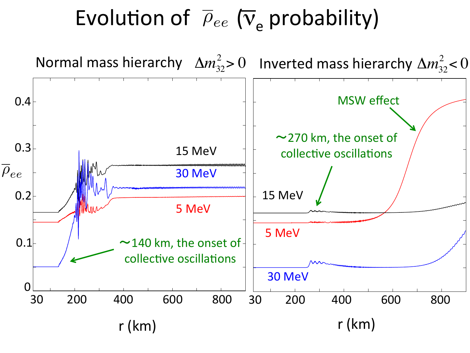# Evolution of  $\overline{\rho}_{ee}$  ( $\nabla$ <sub>e</sub> probability)

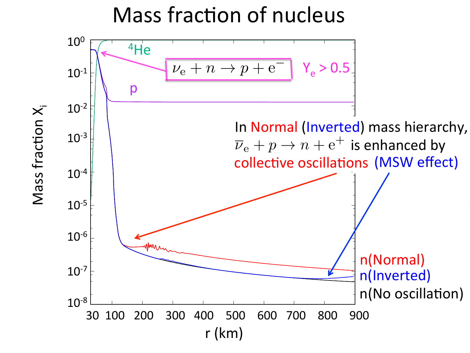#### Mass fraction of nucleus  $\overline{\mathsf{c}}$  c  $\overline{\mathsf{f}}$ **Taction of nι** exp #

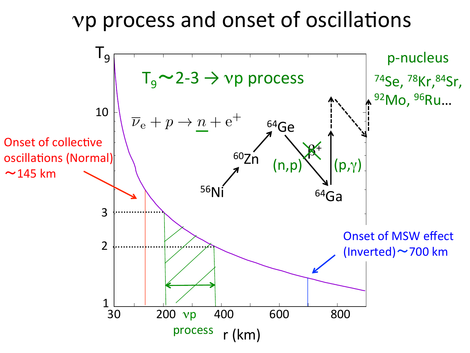## vp process and onset of oscillations

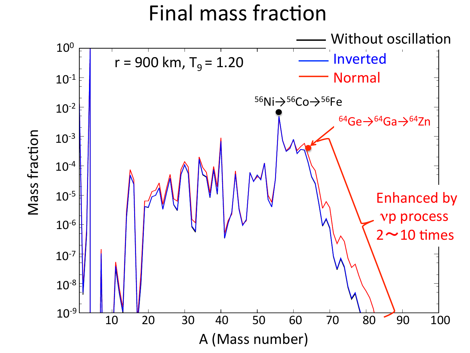## Final mass fraction

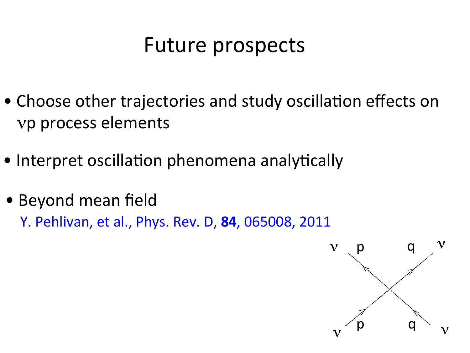## Future prospects

- Choose other trajectories and study oscillation effects on νp process elements
- Interpret oscillation phenomena analytically
- Beyond mean field

Y. Pehlivan, et al., Phys. Rev. D, **84**, 065008, 2011